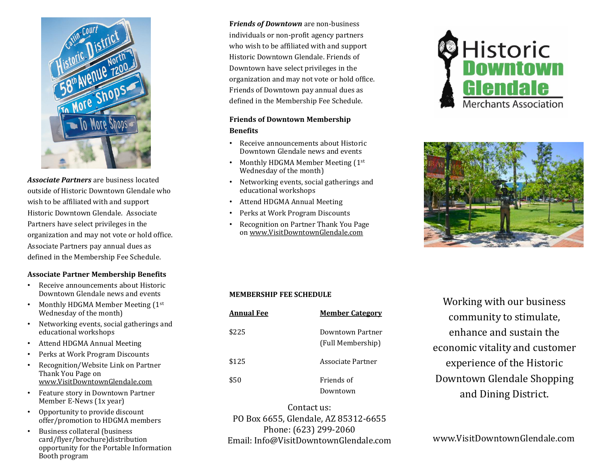

*Associate Partners* are business located outside of Historic Downtown Glendale who wish to be affiliated with and support Historic Downtown Glendale. Associate Partners have select privileges in the organization and may not vote or hold office. Associate Partners pay annual dues as defined in the Membership Fee Schedule.

### **Associate Partner Membership Benefits**

- Receive announcements about Historic Downtown Glendale news and events
- Monthly HDGMA Member Meeting  $(1<sup>st</sup>$ Wednesday of the month)
- Networking events, social gatherings and educational workshops
- Attend HDGMA Annual Meeting
- Perks at Work Program Discounts
- Recognition/Website Link on Partner Thank You Page on [www.VisitDowntownGlendale.com](http://www.visitdowntownglendale.com/)
- Feature story in Downtown Partner Member E-News (1x year)
- Opportunity to provide discount offer/promotion to HDGMA members
- Business collateral (business card/flyer/brochure)distribution opportunity for the Portable Information Booth program

**F***riends of Downtown* are non-business individuals or non-profit agency partners who wish to be affiliated with and support Historic Downtown Glendale. Friends of Downtown have select privileges in the organization and may not vote or hold office. Friends of Downtown pay annual dues as defined in the Membership Fee Schedule.

### **Friends of Downtown Membership Benefits**

- Receive announcements about Historic Downtown Glendale news and events
- Monthly HDGMA Member Meeting (1st Wednesday of the month)
- Networking events, social gatherings and educational workshops
- Attend HDGMA Annual Meeting
- Perks at Work Program Discounts
- Recognition on Partner Thank You Page on [www.VisitDowntownGlendale.com](http://www.visitdowntownglendale.com/)





### **MEMBERSHIP FEE SCHEDULE**

| <b>Annual Fee</b> | <b>Member Category</b>                |
|-------------------|---------------------------------------|
| \$225             | Downtown Partner<br>(Full Membership) |
| \$125             | Associate Partner                     |
| \$50              | Friends of                            |
|                   | Downtown                              |

Working with our business community to stimulate, enhance and sustain the economic vitality and customer experience of the Historic Downtown Glendale Shopping and Dining District.

Contact us: PO Box 6655, Glendale, AZ 85312-6655 Phone: (623) 299-2060 Email: Info@VisitDowntownGlendale.com www.VisitDowntownGlendale.com